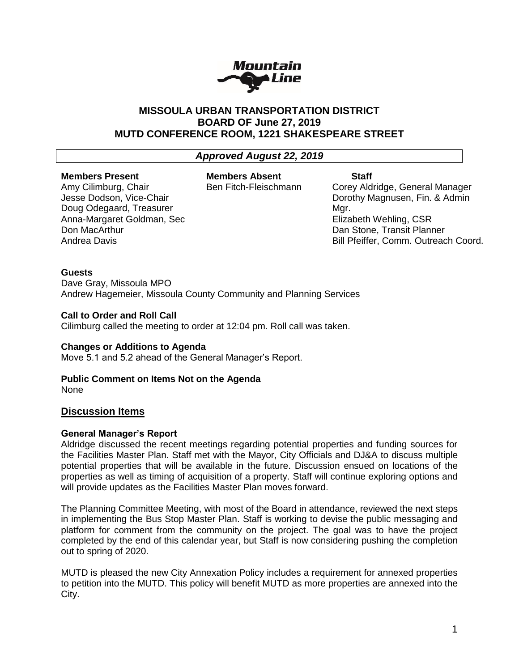

# **MISSOULA URBAN TRANSPORTATION DISTRICT BOARD OF June 27, 2019 MUTD CONFERENCE ROOM, 1221 SHAKESPEARE STREET**

# *Approved August 22, 2019*

#### **Members Present** Amy Cilimburg, Chair

Don MacArthur Andrea Davis

Jesse Dodson, Vice-Chair Doug Odegaard, Treasurer Anna-Margaret Goldman, Sec

# **Members Absent**

Ben Fitch-Fleischmann

# **Staff**

Corey Aldridge, General Manager Dorothy Magnusen, Fin. & Admin Mar. Elizabeth Wehling, CSR Dan Stone, Transit Planner Bill Pfeiffer, Comm. Outreach Coord.

#### **Guests**

Dave Gray, Missoula MPO Andrew Hagemeier, Missoula County Community and Planning Services

#### **Call to Order and Roll Call**

Cilimburg called the meeting to order at 12:04 pm. Roll call was taken.

#### **Changes or Additions to Agenda**

Move 5.1 and 5.2 ahead of the General Manager's Report.

# **Public Comment on Items Not on the Agenda**

None

# **Discussion Items**

# **General Manager's Report**

Aldridge discussed the recent meetings regarding potential properties and funding sources for the Facilities Master Plan. Staff met with the Mayor, City Officials and DJ&A to discuss multiple potential properties that will be available in the future. Discussion ensued on locations of the properties as well as timing of acquisition of a property. Staff will continue exploring options and will provide updates as the Facilities Master Plan moves forward.

The Planning Committee Meeting, with most of the Board in attendance, reviewed the next steps in implementing the Bus Stop Master Plan. Staff is working to devise the public messaging and platform for comment from the community on the project. The goal was to have the project completed by the end of this calendar year, but Staff is now considering pushing the completion out to spring of 2020.

MUTD is pleased the new City Annexation Policy includes a requirement for annexed properties to petition into the MUTD. This policy will benefit MUTD as more properties are annexed into the City.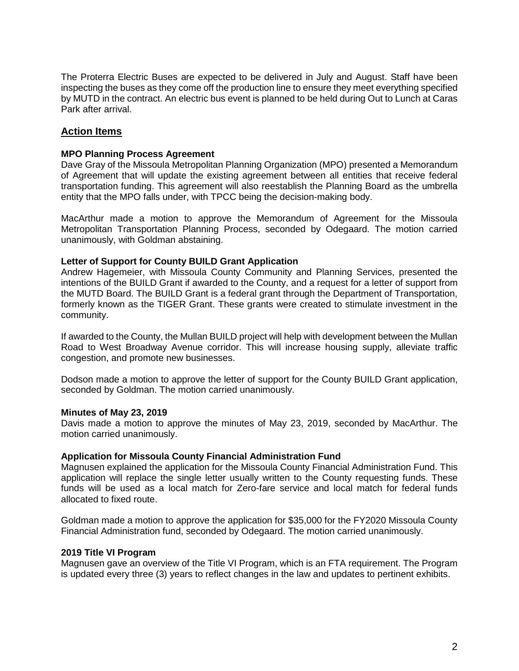The Proterra Electric Buses are expected to be delivered in July and August. Staff have been inspecting the buses as they come off the production line to ensure they meet everything specified by MUTD in the contract. An electric bus event is planned to be held during Out to Lunch at Caras Park after arrival.

# **Action Items**

#### **MPO Planning Process Agreement**

Dave Gray of the Missoula Metropolitan Planning Organization (MPO) presented a Memorandum of Agreement that will update the existing agreement between all entities that receive federal transportation funding. This agreement will also reestablish the Planning Board as the umbrella entity that the MPO falls under, with TPCC being the decision-making body.

MacArthur made a motion to approve the Memorandum of Agreement for the Missoula Metropolitan Transportation Planning Process, seconded by Odegaard. The motion carried unanimously, with Goldman abstaining.

#### **Letter of Support for County BUILD Grant Application**

Andrew Hagemeier, with Missoula County Community and Planning Services, presented the intentions of the BUILD Grant if awarded to the County, and a request for a letter of support from the MUTD Board. The BUILD Grant is a federal grant through the Department of Transportation, formerly known as the TIGER Grant. These grants were created to stimulate investment in the community.

If awarded to the County, the Mullan BUILD project will help with development between the Mullan Road to West Broadway Avenue corridor. This will increase housing supply, alleviate traffic congestion, and promote new businesses.

Dodson made a motion to approve the letter of support for the County BUILD Grant application, seconded by Goldman. The motion carried unanimously.

#### **Minutes of May 23, 2019**

Davis made a motion to approve the minutes of May 23, 2019, seconded by MacArthur. The motion carried unanimously.

#### **Application for Missoula County Financial Administration Fund**

Magnusen explained the application for the Missoula County Financial Administration Fund. This application will replace the single letter usually written to the County requesting funds. These funds will be used as a local match for Zero-fare service and local match for federal funds allocated to fixed route.

Goldman made a motion to approve the application for \$35,000 for the FY2020 Missoula County Financial Administration fund, seconded by Odegaard. The motion carried unanimously.

#### **2019 Title VI Program**

Magnusen gave an overview of the Title VI Program, which is an FTA requirement. The Program is updated every three (3) years to reflect changes in the law and updates to pertinent exhibits.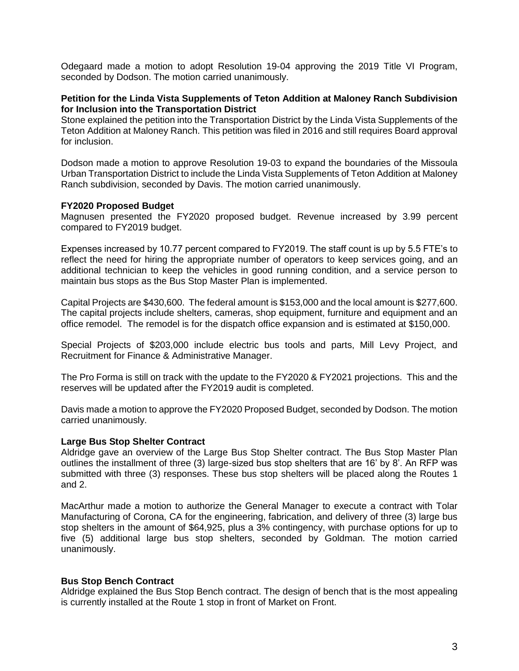Odegaard made a motion to adopt Resolution 19-04 approving the 2019 Title VI Program, seconded by Dodson. The motion carried unanimously.

#### **Petition for the Linda Vista Supplements of Teton Addition at Maloney Ranch Subdivision for Inclusion into the Transportation District**

Stone explained the petition into the Transportation District by the Linda Vista Supplements of the Teton Addition at Maloney Ranch. This petition was filed in 2016 and still requires Board approval for inclusion.

Dodson made a motion to approve Resolution 19-03 to expand the boundaries of the Missoula Urban Transportation District to include the Linda Vista Supplements of Teton Addition at Maloney Ranch subdivision, seconded by Davis. The motion carried unanimously.

#### **FY2020 Proposed Budget**

Magnusen presented the FY2020 proposed budget. Revenue increased by 3.99 percent compared to FY2019 budget.

Expenses increased by 10.77 percent compared to FY2019. The staff count is up by 5.5 FTE's to reflect the need for hiring the appropriate number of operators to keep services going, and an additional technician to keep the vehicles in good running condition, and a service person to maintain bus stops as the Bus Stop Master Plan is implemented.

Capital Projects are \$430,600. The federal amount is \$153,000 and the local amount is \$277,600. The capital projects include shelters, cameras, shop equipment, furniture and equipment and an office remodel. The remodel is for the dispatch office expansion and is estimated at \$150,000.

Special Projects of \$203,000 include electric bus tools and parts, Mill Levy Project, and Recruitment for Finance & Administrative Manager.

The Pro Forma is still on track with the update to the FY2020 & FY2021 projections. This and the reserves will be updated after the FY2019 audit is completed.

Davis made a motion to approve the FY2020 Proposed Budget, seconded by Dodson. The motion carried unanimously.

#### **Large Bus Stop Shelter Contract**

Aldridge gave an overview of the Large Bus Stop Shelter contract. The Bus Stop Master Plan outlines the installment of three (3) large-sized bus stop shelters that are 16' by 8'. An RFP was submitted with three (3) responses. These bus stop shelters will be placed along the Routes 1 and 2.

MacArthur made a motion to authorize the General Manager to execute a contract with Tolar Manufacturing of Corona, CA for the engineering, fabrication, and delivery of three (3) large bus stop shelters in the amount of \$64,925, plus a 3% contingency, with purchase options for up to five (5) additional large bus stop shelters, seconded by Goldman. The motion carried unanimously.

#### **Bus Stop Bench Contract**

Aldridge explained the Bus Stop Bench contract. The design of bench that is the most appealing is currently installed at the Route 1 stop in front of Market on Front.